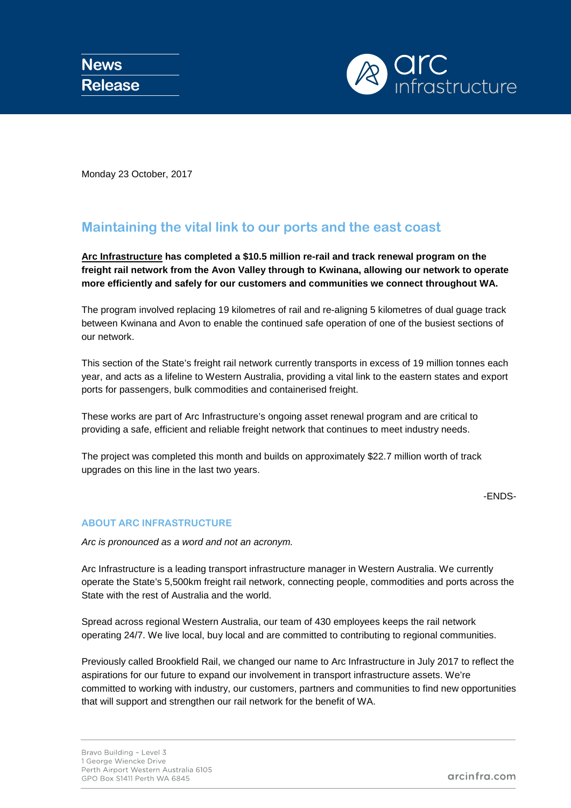

Monday 23 October, 2017

## **Maintaining the vital link to our ports and the east coast**

**[Arc Infrastructure](http://www.arcinfra.com/) has completed a \$10.5 million re-rail and track renewal program on the freight rail network from the Avon Valley through to Kwinana, allowing our network to operate more efficiently and safely for our customers and communities we connect throughout WA.** 

The program involved replacing 19 kilometres of rail and re-aligning 5 kilometres of dual guage track between Kwinana and Avon to enable the continued safe operation of one of the busiest sections of our network.

This section of the State's freight rail network currently transports in excess of 19 million tonnes each year, and acts as a lifeline to Western Australia, providing a vital link to the eastern states and export ports for passengers, bulk commodities and containerised freight.

These works are part of Arc Infrastructure's ongoing asset renewal program and are critical to providing a safe, efficient and reliable freight network that continues to meet industry needs.

The project was completed this month and builds on approximately \$22.7 million worth of track upgrades on this line in the last two years.

-ENDS-

## **ABOUT ARC INFRASTRUCTURE**

*Arc is pronounced as a word and not an acronym.*

Arc Infrastructure is a leading transport infrastructure manager in Western Australia. We currently operate the State's 5,500km freight rail network, connecting people, commodities and ports across the State with the rest of Australia and the world.

Spread across regional Western Australia, our team of 430 employees keeps the rail network operating 24/7. We live local, buy local and are committed to contributing to regional communities.

Previously called Brookfield Rail, we changed our name to Arc Infrastructure in July 2017 to reflect the aspirations for our future to expand our involvement in transport infrastructure assets. We're committed to working with industry, our customers, partners and communities to find new opportunities that will support and strengthen our rail network for the benefit of WA.